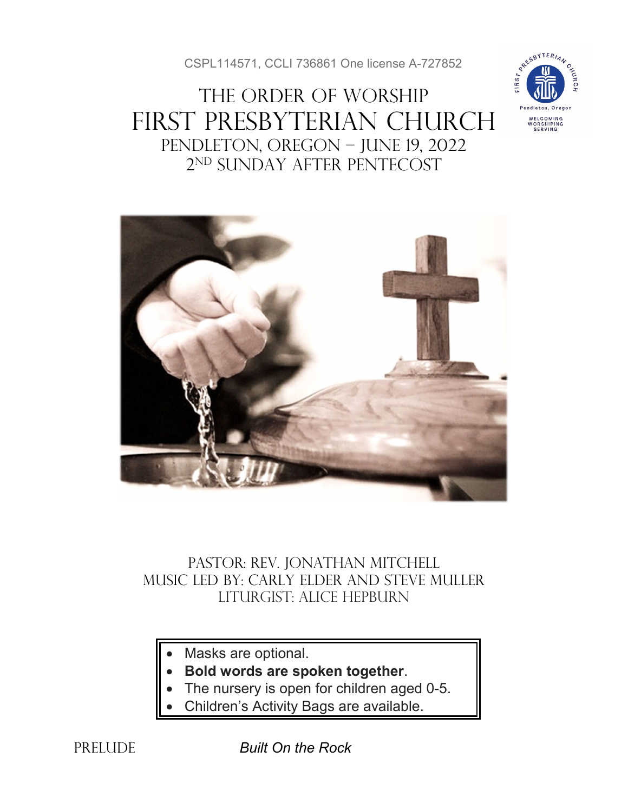CSPL114571, CCLI 736861 One license A-727852

# THE ORDER OF WORSHIP First Presbyterian Church Pendleton, Oregon – June 19, 2022 2nd Sunday after Pentecost





### Pastor: Rev. Jonathan Mitchell Music Led by: Carly Elder and Steve muller Liturgist: Alice Hepburn

- Masks are optional.
- **Bold words are spoken together**.
- The nursery is open for children aged 0-5.
- Children's Activity Bags are available.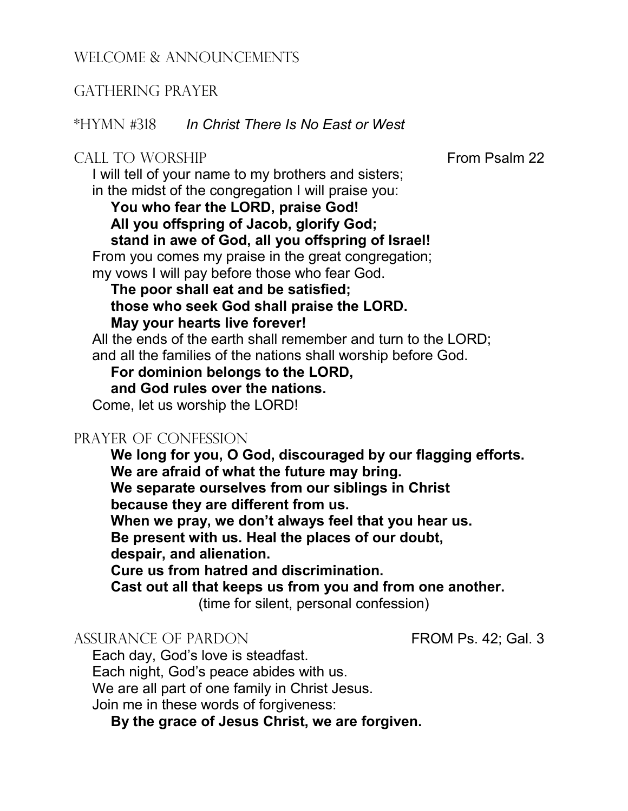#### WELCOME & ANNOUNCEMENTS

#### GATHERING PRAYER

\*HYMN #318 *In Christ There Is No East or West*

#### CALL TO WORSHIP **From Psalm 22**

I will tell of your name to my brothers and sisters; in the midst of the congregation I will praise you: **You who fear the LORD, praise God! All you offspring of Jacob, glorify God; stand in awe of God, all you offspring of Israel!** From you comes my praise in the great congregation;

my vows I will pay before those who fear God.

#### **The poor shall eat and be satisfied; those who seek God shall praise the LORD. May your hearts live forever!**

All the ends of the earth shall remember and turn to the LORD; and all the families of the nations shall worship before God.

**For dominion belongs to the LORD, and God rules over the nations.**

Come, let us worship the LORD!

#### PRAYER OF CONFESSION

**We long for you, O God, discouraged by our flagging efforts. We are afraid of what the future may bring. We separate ourselves from our siblings in Christ because they are different from us. When we pray, we don't always feel that you hear us. Be present with us. Heal the places of our doubt, despair, and alienation. Cure us from hatred and discrimination. Cast out all that keeps us from you and from one another.** 

(time for silent, personal confession)

#### ASSURANCE OF PARDON FROM Ps. 42; Gal. 3

Each day, God's love is steadfast. Each night, God's peace abides with us. We are all part of one family in Christ Jesus. Join me in these words of forgiveness:

**By the grace of Jesus Christ, we are forgiven.**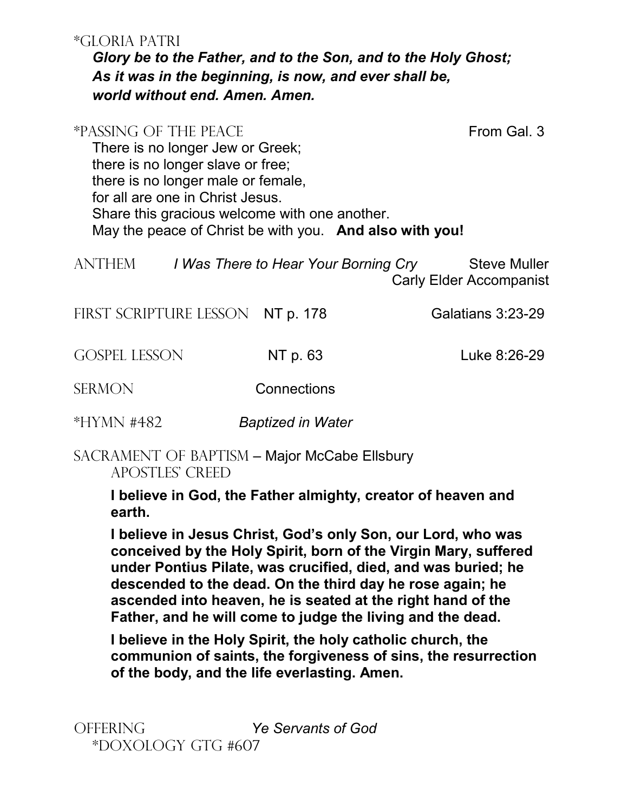#### \*GLORIA PATRI

*Glory be to the Father, and to the Son, and to the Holy Ghost; As it was in the beginning, is now, and ever shall be, world without end. Amen. Amen.*

## \*PASSING OF THE PEACE FROM Gal. 3 There is no longer Jew or Greek; there is no longer slave or free; there is no longer male or female, for all are one in Christ Jesus. Share this gracious welcome with one another. May the peace of Christ be with you. **And also with you!** ANTHEM *I Was There to Hear Your Borning Cry* Steve Muller Carly Elder Accompanist FIRST SCRIPTURE LESSON NT p. 178 Galatians 3:23-29

GOSPEL LESSON NT p. 63 Luke 8:26-29

SERMON Connections

\*Hymn #482 *Baptized in Water*

SACRAMENT OF BAPTISM – Major McCabe Ellsbury Apostles' Creed

> **I believe in God, the Father almighty, creator of heaven and earth.**

**I believe in Jesus Christ, God's only Son, our Lord, who was conceived by the Holy Spirit, born of the Virgin Mary, suffered under Pontius Pilate, was crucified, died, and was buried; he descended to the dead. On the third day he rose again; he ascended into heaven, he is seated at the right hand of the Father, and he will come to judge the living and the dead.**

**I believe in the Holy Spirit, the holy catholic church, the communion of saints, the forgiveness of sins, the resurrection of the body, and the life everlasting. Amen.**

OFFERING *Ye Servants of God* \*Doxology GTG #607